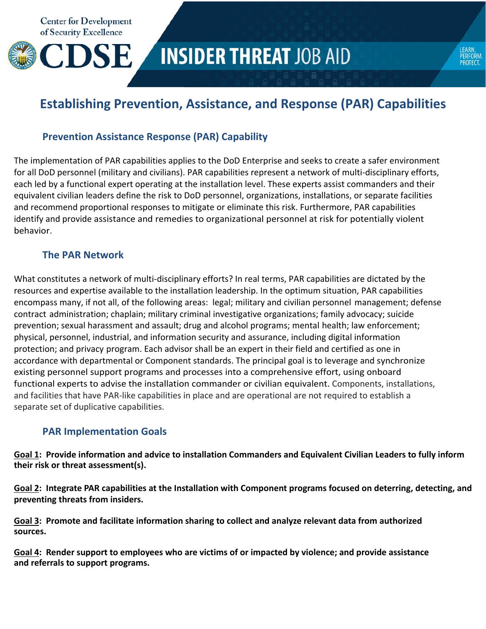

# **INSIDER THREAT JOB AID**

LEARN.<br>PERFORM<br>PROTECT.

## **Establishing Prevention, Assistance, and Response (PAR) Capabilities**

### **Prevention Assistance Response (PAR) Capability**

The implementation of PAR capabilities applies to the DoD Enterprise and seeks to create a safer environment for all DoD personnel (military and civilians). PAR capabilities represent a network of multi-disciplinary efforts, each led by a functional expert operating at the installation level. These experts assist commanders and their equivalent civilian leaders define the risk to DoD personnel, organizations, installations, or separate facilities and recommend proportional responses to mitigate or eliminate this risk. Furthermore, PAR capabilities identify and provide assistance and remedies to organizational personnel at risk for potentially violent behavior.

#### **The PAR Network**

What constitutes a network of multi‐disciplinary efforts? In real terms, PAR capabilities are dictated by the resources and expertise available to the installation leadership. In the optimum situation, PAR capabilities encompass many, if not all, of the following areas: legal; military and civilian personnel management; defense contract administration; chaplain; military criminal investigative organizations; family advocacy; suicide prevention; sexual harassment and assault; drug and alcohol programs; mental health; law enforcement; physical, personnel, industrial, and information security and assurance, including digital information protection; and privacy program. Each advisor shall be an expert in their field and certified as one in accordance with departmental or Component standards. The principal goal is to leverage and synchronize existing personnel support programs and processes into a comprehensive effort, using onboard functional experts to advise the installation commander or civilian equivalent. Components, installations, and facilities that have PAR‐like capabilities in place and are operational are not required to establish a separate set of duplicative capabilities.

#### **PAR Implementation Goals**

Goal 1: Provide information and advice to installation Commanders and Equivalent Civilian Leaders to fully inform **their risk or threat assessment(s).**

Goal 2: Integrate PAR capabilities at the Installation with Component programs focused on deterring, detecting, and **preventing threats from insiders.**

**Goal 3: Promote and facilitate information sharing to collect and analyze relevant data from authorized sources.**

Goal 4: Render support to employees who are victims of or impacted by violence; and provide assistance **and referrals to support programs.**